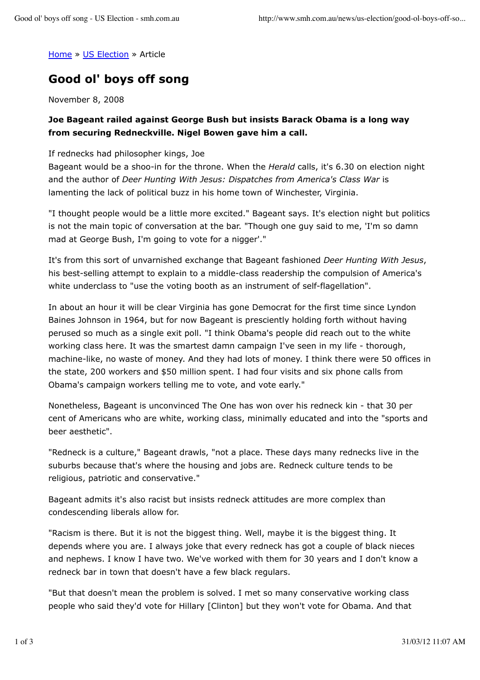Home » US Election » Article

## **Good ol' boys off song**

November 8, 2008

## **Joe Bageant railed against George Bush but insists Barack Obama is a long way from securing Redneckville. Nigel Bowen gave him a call.**

## If rednecks had philosopher kings, Joe

Bageant would be a shoo-in for the throne. When the *Herald* calls, it's 6.30 on election night and the author of *Deer Hunting With Jesus: Dispatches from America's Class War* is lamenting the lack of political buzz in his home town of Winchester, Virginia.

"I thought people would be a little more excited." Bageant says. It's election night but politics is not the main topic of conversation at the bar. "Though one guy said to me, 'I'm so damn mad at George Bush, I'm going to vote for a nigger'."

It's from this sort of unvarnished exchange that Bageant fashioned *Deer Hunting With Jesus*, his best-selling attempt to explain to a middle-class readership the compulsion of America's white underclass to "use the voting booth as an instrument of self-flagellation".

In about an hour it will be clear Virginia has gone Democrat for the first time since Lyndon Baines Johnson in 1964, but for now Bageant is presciently holding forth without having perused so much as a single exit poll. "I think Obama's people did reach out to the white working class here. It was the smartest damn campaign I've seen in my life - thorough, machine-like, no waste of money. And they had lots of money. I think there were 50 offices in the state, 200 workers and \$50 million spent. I had four visits and six phone calls from Obama's campaign workers telling me to vote, and vote early."

Nonetheless, Bageant is unconvinced The One has won over his redneck kin - that 30 per cent of Americans who are white, working class, minimally educated and into the "sports and beer aesthetic".

"Redneck is a culture," Bageant drawls, "not a place. These days many rednecks live in the suburbs because that's where the housing and jobs are. Redneck culture tends to be religious, patriotic and conservative."

Bageant admits it's also racist but insists redneck attitudes are more complex than condescending liberals allow for.

"Racism is there. But it is not the biggest thing. Well, maybe it is the biggest thing. It depends where you are. I always joke that every redneck has got a couple of black nieces and nephews. I know I have two. We've worked with them for 30 years and I don't know a redneck bar in town that doesn't have a few black regulars.

"But that doesn't mean the problem is solved. I met so many conservative working class people who said they'd vote for Hillary [Clinton] but they won't vote for Obama. And that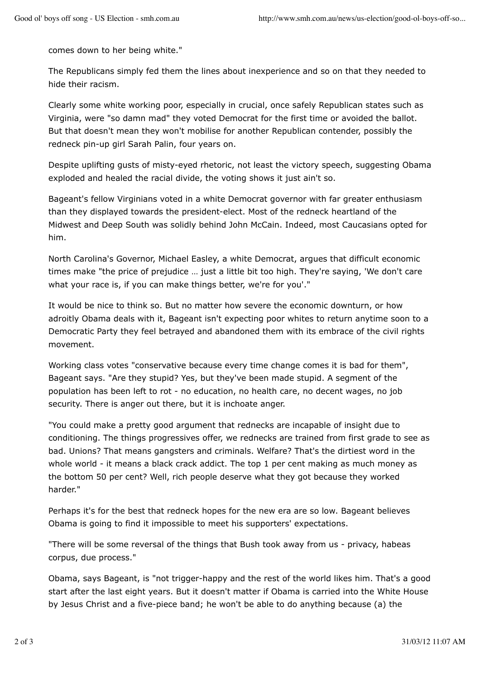comes down to her being white."

The Republicans simply fed them the lines about inexperience and so on that they needed to hide their racism.

Clearly some white working poor, especially in crucial, once safely Republican states such as Virginia, were "so damn mad" they voted Democrat for the first time or avoided the ballot. But that doesn't mean they won't mobilise for another Republican contender, possibly the redneck pin-up girl Sarah Palin, four years on.

Despite uplifting gusts of misty-eyed rhetoric, not least the victory speech, suggesting Obama exploded and healed the racial divide, the voting shows it just ain't so.

Bageant's fellow Virginians voted in a white Democrat governor with far greater enthusiasm than they displayed towards the president-elect. Most of the redneck heartland of the Midwest and Deep South was solidly behind John McCain. Indeed, most Caucasians opted for him.

North Carolina's Governor, Michael Easley, a white Democrat, argues that difficult economic times make "the price of prejudice … just a little bit too high. They're saying, 'We don't care what your race is, if you can make things better, we're for you'."

It would be nice to think so. But no matter how severe the economic downturn, or how adroitly Obama deals with it, Bageant isn't expecting poor whites to return anytime soon to a Democratic Party they feel betrayed and abandoned them with its embrace of the civil rights movement.

Working class votes "conservative because every time change comes it is bad for them", Bageant says. "Are they stupid? Yes, but they've been made stupid. A segment of the population has been left to rot - no education, no health care, no decent wages, no job security. There is anger out there, but it is inchoate anger.

"You could make a pretty good argument that rednecks are incapable of insight due to conditioning. The things progressives offer, we rednecks are trained from first grade to see as bad. Unions? That means gangsters and criminals. Welfare? That's the dirtiest word in the whole world - it means a black crack addict. The top 1 per cent making as much money as the bottom 50 per cent? Well, rich people deserve what they got because they worked harder."

Perhaps it's for the best that redneck hopes for the new era are so low. Bageant believes Obama is going to find it impossible to meet his supporters' expectations.

"There will be some reversal of the things that Bush took away from us - privacy, habeas corpus, due process."

Obama, says Bageant, is "not trigger-happy and the rest of the world likes him. That's a good start after the last eight years. But it doesn't matter if Obama is carried into the White House by Jesus Christ and a five-piece band; he won't be able to do anything because (a) the